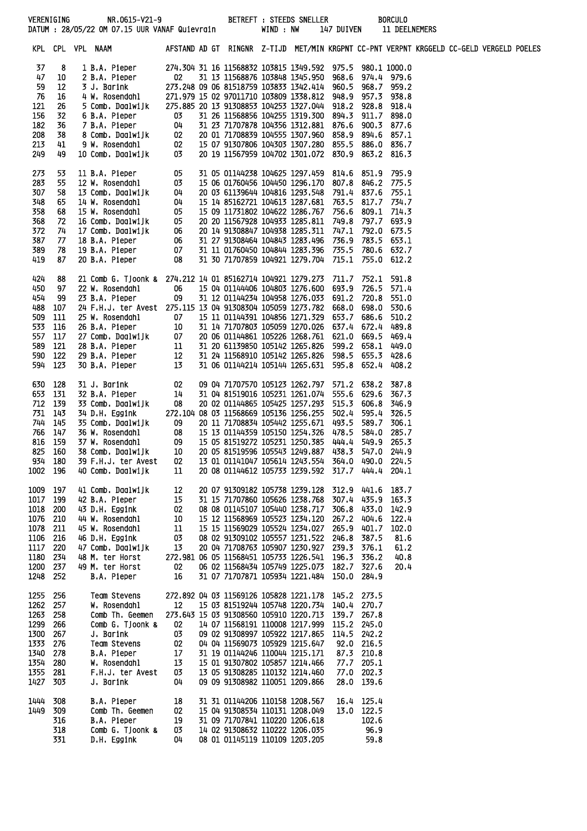|              | VERENIGING | NR.0615-V21-9 BETREFT: STEEDS SNELLER<br>DATUM : 28/05/22 OM 07.15 UUR VANAF Quievrain                                                                                                                                                    |                       |  |                                | WIND : NW |                                                                                                      | 147 DUIVEN |             | <b>BORCULO</b><br>11 DEELNEMERS |  |  |
|--------------|------------|-------------------------------------------------------------------------------------------------------------------------------------------------------------------------------------------------------------------------------------------|-----------------------|--|--------------------------------|-----------|------------------------------------------------------------------------------------------------------|------------|-------------|---------------------------------|--|--|
|              |            | KPL CPL VPL NAAM                                                                                                                                                                                                                          |                       |  |                                |           | AFSTAND AD GT RINGNR Z-TIJD MET/MIN KRGPNT CC-PNT VERPNT KRGGELD CC-GELD VERGELD POELES              |            |             |                                 |  |  |
| 37           | 8          | 1 B.A. Pieper                                                                                                                                                                                                                             |                       |  |                                |           | 274.304 31 16 11568832 103815 1349.592 975.5 980.1 1000.0                                            |            |             |                                 |  |  |
| 47           | 10         | 2 B.A. Pieper<br>3 J. Barink<br>4 W. Rosendahl                                                                                                                                                                                            | $_{02}$               |  |                                |           | 31 13 11568876 103848 1345,950 968,6 974,4 979,6                                                     |            |             |                                 |  |  |
| 59           | 12         |                                                                                                                                                                                                                                           |                       |  |                                |           | 273.248 09 06 81518759 103833 1342.414 960.5 968.7 959.2                                             |            |             |                                 |  |  |
| 76           | 16         |                                                                                                                                                                                                                                           |                       |  |                                |           | 271.979 15 02 97011710 103809 1338.812 948.9 957.3 938.8                                             |            |             |                                 |  |  |
| 121          | 26         | 5 Comb. Daalwijk                                                                                                                                                                                                                          |                       |  |                                |           | 275.885 20 13 91308853 104253 1327.044 918.2 928.8 918.4                                             |            |             |                                 |  |  |
| 156          | 32         |                                                                                                                                                                                                                                           |                       |  |                                |           | 31 26 11568856 104255 1319.300 894.3 911.7 898.0                                                     |            |             |                                 |  |  |
| 182          | 36         |                                                                                                                                                                                                                                           |                       |  |                                |           | 31 23 71707878 104356 1312.881 876.6                                                                 |            |             | 900.3 877.6                     |  |  |
| 208          | 38         | 6 B.A. Pieper<br>7 B.A. Pieper<br>7 B.A. Pieper<br>8 Comb. Daalwijk<br>9 W. Rosendahl<br>10 Comb. Daalwijk<br>03                                                                                                                          |                       |  |                                |           | 20 01 71708839 104555 1307.960 858.9                                                                 |            |             | 894.6 857.1                     |  |  |
| 213<br>249   | 41         |                                                                                                                                                                                                                                           |                       |  |                                |           | 15 07 91307806 104303 1307,280 855,5 886,0 836,7                                                     |            |             |                                 |  |  |
|              | 49         | 10 Comb. Daalwijk                                                                                                                                                                                                                         |                       |  |                                |           | 20 19 11567959 104702 1301.072 830.9 863.2 816.3                                                     |            |             |                                 |  |  |
| 273          | 53         | 11 B.A. Pieper                                                                                                                                                                                                                            | 05                    |  |                                |           | 31 05 01144238 104625 1297,459 814,6 851,9                                                           |            |             | 795.9                           |  |  |
| 283          | 55         |                                                                                                                                                                                                                                           |                       |  |                                |           | 15 06 01760456 104450 1296.170 807.8 846.2                                                           |            |             | 775.5                           |  |  |
| 307          | 58         |                                                                                                                                                                                                                                           |                       |  |                                |           | 20 03 61139644 104816 1293.548 791.4 837.6                                                           |            |             | 755.1                           |  |  |
| 348          | 65         |                                                                                                                                                                                                                                           |                       |  |                                |           | 15 14 85162721 104613 1287.681 763.5 817.7 734.7                                                     |            |             |                                 |  |  |
| 358          | 68         |                                                                                                                                                                                                                                           |                       |  |                                |           | 15 09 11731802 104622 1286.767 756.6                                                                 |            |             | 809.1 714.3                     |  |  |
| 368          | 72         |                                                                                                                                                                                                                                           |                       |  |                                |           | 20 20 11567928 104933 1285.811 749.8                                                                 |            |             | 797.7 693.9                     |  |  |
| 372          | 74         |                                                                                                                                                                                                                                           |                       |  |                                |           | 20 14 91308847 104938 1285, 311 747, 1                                                               |            |             | 792.0 673.5                     |  |  |
| 387          | 77         |                                                                                                                                                                                                                                           |                       |  |                                |           | 31 27 91308464 104843 1283.496 736.9 783.5 653.1                                                     |            |             |                                 |  |  |
| 389<br>419   | 78<br>87   | 11 B.A. Fieper<br>12 W. Rosendahl 03<br>13 Comb. Daalwijk 04<br>14 W. Rosendahl 04<br>15 W. Rosendahl 05<br>16 Comb. Daalwijk 05<br>17 Comb. Daalwijk 06<br>18 B.A. Pieper 06<br>19 B.A. Pieper 07<br>19 B.A. Pieper 07<br>20 B.A. Pieper |                       |  |                                |           | 31 11 01760450 104844 1283.396 735.5 780.6 632.7<br>31 30 71707859 104921 1279.704 715.1 755.0 612.2 |            |             |                                 |  |  |
|              |            |                                                                                                                                                                                                                                           |                       |  |                                |           |                                                                                                      |            |             |                                 |  |  |
| 424          | 88         | 21 Comb G. Tjoonk & 274,212 14 01 85162714 104921 1279,273 711,7                                                                                                                                                                          |                       |  |                                |           |                                                                                                      |            | 752.1       | 591.8                           |  |  |
| 450          | 97         | 22 W. Rosendahl                                                                                                                                                                                                                           | 06                    |  |                                |           | 15 04 01144406 104803 1276.600 693.9 726.5 571.4                                                     |            |             |                                 |  |  |
| 454          | 99         | 23 B.A. Pieper                                                                                                                                                                                                                            | 09                    |  |                                |           | 31 12 01144234 104958 1276.033 691.2 720.8                                                           |            |             | 551.0                           |  |  |
| 488          | 107        | 24 F.H.J. ter Avest 275.115 13 04 91308304 105059 1273.782 668.0 698.0 530.6                                                                                                                                                              |                       |  |                                |           |                                                                                                      |            |             |                                 |  |  |
| 509          | 111        | 25 W. Rosendahl                                                                                                                                                                                                                           | 07                    |  |                                |           | 15 11 01144391 104856 1271.329 653.7 686.6                                                           |            |             | 510.2                           |  |  |
| 533          | 116        |                                                                                                                                                                                                                                           |                       |  |                                |           | 31 14 71707803 105059 1270.026 637.4 672.4                                                           |            |             | 489.8                           |  |  |
| 557<br>589   | 117<br>121 |                                                                                                                                                                                                                                           |                       |  |                                |           | 20 06 01144861 105226 1268.761 621.0 669.5<br>31 20 61139850 105142 1265.826 599.2 658.1 449.0       |            |             | 469.4                           |  |  |
| 590          | 122        | 25 W. ROSERIQUITE 10<br>27 Comb. Daalwijk 107<br>28 B.A. Pieper 11<br>29 B.A. Pieper 12                                                                                                                                                   |                       |  |                                |           | 31 24 11568910 105142 1265.826 598.5 655.3 428.6                                                     |            |             |                                 |  |  |
| 594          | 123        | 30 B.A. Pieper                                                                                                                                                                                                                            | 13                    |  |                                |           | 31 06 01144214 105144 1265.631 595.8 652.4                                                           |            |             | 408.2                           |  |  |
|              |            |                                                                                                                                                                                                                                           |                       |  |                                |           |                                                                                                      |            |             |                                 |  |  |
| 630          | 128        | 31 J. Barink                                                                                                                                                                                                                              | 02                    |  |                                |           | 09 04 71707570 105123 1262.797                                                                       |            | 571.2 638.2 | -387.8                          |  |  |
| 653 131      |            | 32 B.A. Pieper                                                                                                                                                                                                                            | 14<br>$\overline{0}8$ |  |                                |           | 31 04 81519016 105231 1261.074 555.6 629.6                                                           |            |             | 367.3                           |  |  |
| 712          | 139        | 33 Comb. Daalwijk<br>34 D.H. Eggink                                                                                                                                                                                                       |                       |  |                                |           | 20 02 01144865 105425 1257.293 515.3 606.8<br>272.104 08 03 11568669 105136 1256.255 502.4           |            | 595.4       | 346.9                           |  |  |
| 731<br>744   | 143<br>145 | 35 Comb. Daalwijk                                                                                                                                                                                                                         |                       |  |                                |           | 20 11 71708834 105442 1255.671 493.5                                                                 |            |             | - 326.5<br>589.7 306.1          |  |  |
| 766          | 147        | 36 W. Rosendahl                                                                                                                                                                                                                           |                       |  |                                |           | 15 13 01144359 105150 1254.326 478.5                                                                 |            |             | 584.0 285.7                     |  |  |
| 816          | 159        | 37 W. Rosendahl                                                                                                                                                                                                                           |                       |  |                                |           | 15 05 81519272 105231 1250.385 444.4                                                                 |            | 549.9       | 265.3                           |  |  |
| 825 160      |            | 38 Comb. Daalwijk                                                                                                                                                                                                                         |                       |  |                                |           | 20 05 81519596 105543 1249.887 438.3 547.0 244.9                                                     |            |             |                                 |  |  |
| 934 180      |            | 39 F.H.J. ter Avest                                                                                                                                                                                                                       | 02                    |  |                                |           | 13 01 01141047 105614 1243.554 364.0 490.0                                                           |            |             | 224.5                           |  |  |
| 1002         | 196        | 40 Comb. Daalwijk                                                                                                                                                                                                                         | 11                    |  |                                |           | 20 08 01144612 105733 1239.592 317.7 444.4                                                           |            |             | 204.1                           |  |  |
|              |            |                                                                                                                                                                                                                                           |                       |  |                                |           |                                                                                                      |            |             |                                 |  |  |
| 1009<br>1017 | 197<br>199 | 41 Comb. Daalwijk<br>42 B.A. Pieper                                                                                                                                                                                                       | 12<br>15              |  |                                |           | 20 07 91309182 105738 1239.128 312.9 441.6<br>31 15 71707860 105626 1238.768                         |            | 307.4 435.9 | 183.7<br>163.3                  |  |  |
| 1018         | 200        | 43 D.H. Eggink                                                                                                                                                                                                                            | 02                    |  |                                |           | 08 08 01145107 105440 1238.717                                                                       | 306.8      | 433.0       | 142.9                           |  |  |
| 1076         | 210        | 44 W. Rosendahl                                                                                                                                                                                                                           | 10                    |  |                                |           | 15 12 11568969 105523 1234.120                                                                       | 267.2      | 404.6       | 122.4                           |  |  |
| 1078         | 211        | 45 W. Rosendahl                                                                                                                                                                                                                           | 11                    |  |                                |           | 15 15 11569029 105524 1234.027                                                                       | 265.9      | 401.7       | 102.0                           |  |  |
| 1106         | 216        | 46 D.H. Eggink                                                                                                                                                                                                                            | 03                    |  |                                |           | 08 02 91309102 105557 1231.522                                                                       | 246.8      | 387.5       | 81.6                            |  |  |
| 1117         | 220        | 47 Comb. Daalwijk                                                                                                                                                                                                                         | 13                    |  |                                |           | 20 04 71708763 105907 1230.927 239.3                                                                 |            | 376.1       | 61.2                            |  |  |
| 1180         | 234        | 48 M. ter Horst                                                                                                                                                                                                                           |                       |  |                                |           | 272.981 06 05 11568451 105733 1226.541 196.3                                                         |            | 336.2       | 40.8                            |  |  |
| 1200         | 237        | 49 M. ter Horst                                                                                                                                                                                                                           | 02                    |  |                                |           | 06 02 11568434 105749 1225.073 182.7 327.6                                                           |            |             | 20.4                            |  |  |
| 1248         | 252        | B.A. Pieper                                                                                                                                                                                                                               | 16                    |  |                                |           | 31 07 71707871 105934 1221.484                                                                       | 150.0      | 284.9       |                                 |  |  |
| 1255         | 256        | Team Stevens                                                                                                                                                                                                                              |                       |  |                                |           | 272.892 04 03 11569126 105828 1221.178 145.2 273.5                                                   |            |             |                                 |  |  |
| 1262         | 257        | W. Rosendahl                                                                                                                                                                                                                              | 12 <sup>2</sup>       |  |                                |           | 15 03 81519244 105748 1220.734                                                                       | 140.4      | 270.7       |                                 |  |  |
| 1263         | 258        | Comb Th. Geemen                                                                                                                                                                                                                           |                       |  |                                |           | 273.643 15 03 91308560 105910 1220.713                                                               | 139.7      | 267.8       |                                 |  |  |
| 1299         | 266        | Comb G. Tjoonk &                                                                                                                                                                                                                          | 02                    |  |                                |           | 14 07 11568191 110008 1217.999                                                                       | 115.2      | 245.0       |                                 |  |  |
| 1300         | 267        | J. Barink                                                                                                                                                                                                                                 | 03                    |  |                                |           | 09 02 91308997 105922 1217.865                                                                       |            | 114.5 242.2 |                                 |  |  |
| 1333         | 276        | Team Stevens                                                                                                                                                                                                                              | 02                    |  | 04 04 11569073 105929 1215.647 |           |                                                                                                      | 92.0       | 216.5       |                                 |  |  |
| 1340         | 278        | B.A. Pieper                                                                                                                                                                                                                               | 17                    |  | 31 19 01144246 110044 1215.171 |           |                                                                                                      | 87.3       | 210.8       |                                 |  |  |
| 1354         | 280        | W. Rosendahl                                                                                                                                                                                                                              | 13                    |  |                                |           | 15 01 91307802 105857 1214.466                                                                       | 77.7       | 205.1       |                                 |  |  |
| 1355         | 281        | F.H.J. ter Avest                                                                                                                                                                                                                          | 03                    |  |                                |           | 13 05 91308285 110132 1214.460                                                                       |            | 77.0 202.3  |                                 |  |  |
| 1427         | 303        | J. Barink                                                                                                                                                                                                                                 | 04                    |  | 09 09 91308982 110051 1209.866 |           |                                                                                                      | 28.0       | 139.6       |                                 |  |  |
| 1444         | 308        | B.A. Pieper                                                                                                                                                                                                                               | 18                    |  |                                |           | 31 31 01144206 110158 1208.567                                                                       |            | 16.4 125.4  |                                 |  |  |
| 1449         | 309        | Comb Th. Geemen                                                                                                                                                                                                                           | 02                    |  |                                |           | 15 04 91308534 110131 1208.049                                                                       |            | 13.0 122.5  |                                 |  |  |
|              | 316        | B.A. Pieper                                                                                                                                                                                                                               | 19                    |  | 31 09 71707841 110220 1206.618 |           |                                                                                                      |            | 102.6       |                                 |  |  |
|              | 318        | Comb G. Tjoonk &                                                                                                                                                                                                                          | 03                    |  |                                |           | 14 02 91308632 110222 1206.035                                                                       |            | 96.9        |                                 |  |  |
|              | 331        | D.H. Eggink                                                                                                                                                                                                                               | 04                    |  |                                |           | 08 01 01145119 110109 1203.205                                                                       |            | 59.8        |                                 |  |  |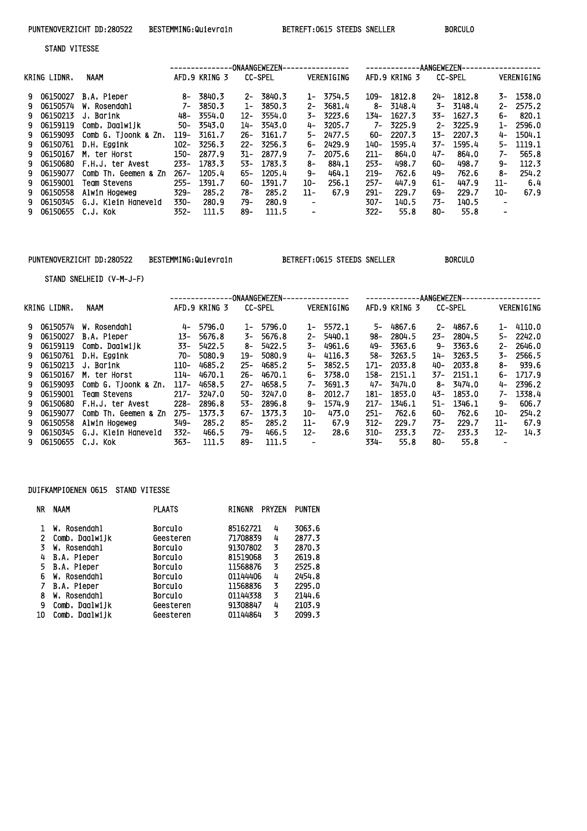STAND VITESSE

|    |              |                      |         |               |       | -ONAANGEWEZEN- |      |            |         |               | AANGEWEZEN- |                |                          |            |
|----|--------------|----------------------|---------|---------------|-------|----------------|------|------------|---------|---------------|-------------|----------------|--------------------------|------------|
|    | KRING LIDNR. | <b>NAAM</b>          |         | AFD.9 KRING 3 |       | <b>CC-SPEL</b> |      | VERENIGING |         | AFD.9 KRING 3 |             | <b>CC-SPEL</b> |                          | VERENIGING |
|    | 9 06150027   | B.A. Pieper          | -8      | 3840.3        | $2-$  | 3840.3         | $1-$ | 3754.5     | 109-    | 1812.8        | 24-         | 1812.8         | 3–                       | 1538.0     |
|    | 9 06150574   | W. Rosendahl         | 7-      | 3850.3        | $1-$  | 3850.3         | $2-$ | 3681.4     |         | 8- 3148.4     | 3-          | 3148.4         | $2 -$                    | 2575.2     |
| 9. | 06150213     | J. Barink            | 48-     | 3554.0        | 12-   | 3554.0         | 3-   | 3223.6     | 134-    | 1627.3        | 33–         | 1627.3         | 6–                       | 820.1      |
|    | 9 06159119   | Comb, Daalwiik       | 50-     | 3543.0        | 14-   | 3543.0         | 4-   | 3205.7     | $7-$    | 3225.9        | $2-$        | 3225.9         | 1-                       | 2596.0     |
|    | 9 06159093   | Comb G. Tioonk & Zn. | 119-    | 3161.7        | 26–   | 3161.7         | 5–   | 2477.5     | 60-     | 2207.3        | 13–         | 2207.3         | 4-                       | 1504.1     |
|    | 9 06150761   | D.H. Eggink          | $102 -$ | 3256.3        | $22-$ | 3256.3         | 6-   | 2429.9     | 140-    | 1595.4        | 37-         | 1595.4         | 5–                       | 1119.1     |
|    | 9 06150167   | M. ter Horst         | 150-    | 2877.9        | 31-   | 2877.9         | 7–   | 2075.6     | $211 -$ | 864.0         | 47–         | 864.0          | 7–                       | 565.8      |
|    | 9 06150680   | F.H.J. ter Avest     | $233 -$ | 1783.3        | 53-   | 1783.3         | 8–   | 884.1      | $253 -$ | 498.7         | 60-         | 498.7          | 9-                       | 112.3      |
| 9. | 06159077     | Comb Th, Geemen & Zn | $267 -$ | 1205.4        | 65-   | 1205.4         | 9–   | 464.1      | $219-$  | 762.6         | 49–         | 762.6          | 8-                       | 254.2      |
|    | 9 06159001   | Team Stevens         | $255 -$ | 1391.7        | 60-   | 1391.7         | 10-  | 256.1      | $257 -$ | 447.9         | 61-         | 447.9          | 11-                      | 6.4        |
|    | 9 06150558   | Alwin Hogeweg        | $329 -$ | 285.2         | 78-   | 285.2          | 11-  | 67.9       | $291 -$ | 229.7         | 69-         | 229.7          | 10-                      | 67.9       |
| 9. | 06150345     | G.J. Klein Haneveld  | 330-    | 280.9         | 79-   | 280.9          |      |            | $307 -$ | 140.5         | 73-         | 140.5          | ۰                        |            |
|    | 9 06150655   | .C.J. Kok            | 352-    | 111.5         | 89-   | 111.5          |      |            | $322 -$ | 55.8          | 80-         | 55.8           | $\overline{\phantom{0}}$ |            |
|    |              |                      |         |               |       |                |      |            |         |               |             |                |                          |            |

## PUNTENOVERZICHT DD:280522 BESTEMMING:Quievrain BETREFT:0615 STEEDS SNELLER BORCULO

STAND SNELHEID (V-M-J-F)

|              |                      |         |               |        | -ONAANGEWEZEN- |        | ----------- |         |               | AANGEWEZEN- |                |       |            |
|--------------|----------------------|---------|---------------|--------|----------------|--------|-------------|---------|---------------|-------------|----------------|-------|------------|
| KRING LIDNR. | NAAM                 |         | AFD.9 KRING 3 |        | <b>CC-SPEL</b> |        | VERENIGING  |         | AFD.9 KRING 3 |             | <b>CC-SPEL</b> |       | VERENIGING |
| 9 06150574   | W. Rosendahl         | 4-      | 5796.0        | 1-     | 5796.0         | $1 -$  | 5572.1      | 5-      | 4867.6        | $2-$        | 4867.6         |       | 1- 4110.0  |
| 9 06150027   | B.A. Pieper          | 13-     | 5676.8        | 3-     | 5676.8         | 2-     | 5440.1      | 98–     | 2804.5        | $23 -$      | 2804.5         | 5-    | 2242.0     |
| 9 06159119   | Comb, Daalwijk       | 33-     | 5422.5        | 8-     | 5422.5         | 3-     | 4961.6      | 49–     | 3363.6        | 9–          | 3363.6         | 2-    | 2646.0     |
| 9 06150761   | D.H. Eggink          | 70-     | 5080.9        | 19-    | 5080.9         | 4-     | 4116.3      | 58-     | 3263.5        | 14-         | 3263.5         | 3-    | 2566.5     |
| 9 06150213   | J. Barink            | $110-$  | 4685.2        | $25-$  | 4685.2         | 5–     | 3852.5      | 171-    | 2033.8        | 40-         | 2033.8         | 8–    | 939.6      |
| 9 06150167   | M. ter Horst         | $114-$  | 4670.1        | 26-    | 4670.1         | 6-     | 3738.0      | 158-    | 2151.1        |             | 37- 2151.1     | 6-    | 1717.9     |
| 9 06159093   | Comb G. Tjoonk & Zn. | $117-$  | 4658.5        | $27 -$ | 4658.5         | 7–     | 3691.3      | 47–     | 3474.0        | 8-          | 3474.0         | 4-    | 2396.2     |
| 9 06159001   | Team Stevens         | $217 -$ | 3247.0        | 50-    | 3247.0         | 8–     | 2012.7      | 181-    | 1853.0        | 43-         | 1853.0         | 7–    | 1338.4     |
| 9 06150680   | F.H.J. ter Avest     | $228 -$ | 2896.8        | 53-    | 2896.8         | 9–     | 1574.9      | $217-$  | 1346.1        | 51-         | 1346.1         | 9–    | 606.7      |
| 9 06159077   | Comb Th, Geemen & Zn | $275-$  | 1373.3        | 67–    | 1373.3         | 10-    | 473.0       | $251 -$ | 762.6         | 60-         | 762.6          | 10-   | 254.2      |
| 9 06150558   | Alwin Hogeweg        | 349-    | 285.2         | 85-    | 285.2          | 11-    | 67.9        | $312 -$ | 229.7         | 73-         | 229.7          | $11-$ | 67.9       |
| 9 06150345   | G.J. Klein Haneveld  | 332-    | 466.5         | 79-    | 466.5          | $12 -$ | 28.6        | $310 -$ | 233.3         | $72-$       | 233.3          | $12-$ | 14.3       |
| 9 06150655   | C.J. Kok             | 363-    | 111.5         | 89-    | 111.5          |        |             | 334-    | 55.8          | 80-         | 55.8           |       |            |

## DUIFKAMPIOENEN 0615 STAND VITESSE

| ΝR | NAAM           | <b>PLAATS</b>  | <b>PRYZEN</b><br><b>RINGNR</b> | <b>PUNTEN</b> |
|----|----------------|----------------|--------------------------------|---------------|
|    |                |                |                                |               |
|    | W. Rosendahl   | <b>Borculo</b> | 85162721<br>4                  | 3063.6        |
| 2  | Comb Daalwijk  | Geesteren      | 71708839<br>4                  | 2877.3        |
| 3  | W. Rosendahl   | <b>Borculo</b> | 91307802<br>3                  | 2870.3        |
| 4  | B.A. Pieper    | <b>Borculo</b> | 81519068<br>3                  | 2619.8        |
|    | 5 B.A. Pieper  | <b>Borculo</b> | 11568876<br>3                  | 2525.8        |
| 6  | W. Rosendahl   | <b>Borculo</b> | 01144406<br>4                  | 2454.8        |
|    | B.A. Pieper    | Borculo        | 3<br>11568836                  | 2295.0        |
| 8  | W. Rosendahl   | <b>Borculo</b> | 3<br>01144338                  | 2144.6        |
| 9  | Comb, Daalwijk | Geesteren      | 91308847<br>4                  | 2103.9        |
| 10 | Comb, Daalwijk | Geesteren      | 01144864<br>3                  | 2099.3        |